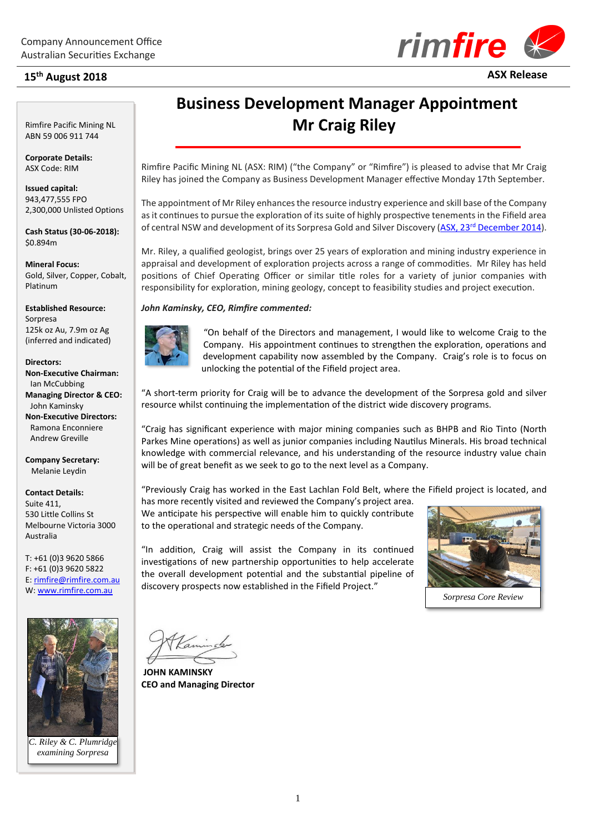## **15th August 2018 ASX Release**

**2018**



Rimfire Pacific Mining NL ABN 59 006 911 744

**Corporate Details:** ASX Code: RIM

**Issued capital:** 943,477,555 FPO 2,300,000 Unlisted Options

**Cash Status (30-06-2018):** \$0.894m

**Mineral Focus:** Gold, Silver, Copper, Cobalt, Platinum

**Established Resource:**

Sorpresa 125k oz Au, 7.9m oz Ag (inferred and indicated)

#### **Directors:**

**Non-Executive Chairman:** Ian McCubbing **Managing Director & CEO:** John Kaminsky **Non-Executive Directors:** Ramona Enconniere Andrew Greville

**Company Secretary:** Melanie Leydin

**Contact Details:** Suite 411, 530 Little Collins St Melbourne Victoria 3000 Australia

T: +61 (0)3 9620 5866 F: +61 (0)3 9620 5822 E[: rimfire@rimfire.com.au](mailto:rimfire@rimfire.com.au) W: [www.rimfire.com.au](http://www.rimfire.com.au/)



*C. Riley & C. Plumridge examining Sorpresa*

# **Business Development Manager Appointment Mr Craig Riley**

Rimfire Pacific Mining NL (ASX: RIM) ("the Company" or "Rimfire") is pleased to advise that Mr Craig Riley has joined the Company as Business Development Manager effective Monday 17th September.

The appointment of Mr Riley enhances the resource industry experience and skill base of the Company as it continues to pursue the exploration of its suite of highly prospective tenements in the Fifield area of central NSW and development of its Sorpresa Gold and Silver Discovery (ASX, 23<sup>rd</sup> [December 2014\)](http://www.rimfire.com.au/irm/PDF/1420_0/SorpresaGoldandSilverMaidenResourceFifieldNSW).

Mr. Riley, a qualified geologist, brings over 25 years of exploration and mining industry experience in appraisal and development of exploration projects across a range of commodities. Mr Riley has held positions of Chief Operating Officer or similar title roles for a variety of junior companies with responsibility for exploration, mining geology, concept to feasibility studies and project execution.

### *John Kaminsky, CEO, Rimfire commented:*



"On behalf of the Directors and management, I would like to welcome Craig to the Company. His appointment continues to strengthen the exploration, operations and development capability now assembled by the Company. Craig's role is to focus on unlocking the potential of the Fifield project area.

"A short-term priority for Craig will be to advance the development of the Sorpresa gold and silver resource whilst continuing the implementation of the district wide discovery programs.

"Craig has significant experience with major mining companies such as BHPB and Rio Tinto (North Parkes Mine operations) as well as junior companies including Nautilus Minerals. His broad technical knowledge with commercial relevance, and his understanding of the resource industry value chain will be of great benefit as we seek to go to the next level as a Company.

"Previously Craig has worked in the East Lachlan Fold Belt, where the Fifield project is located, and

has more recently visited and reviewed the Company's project area. We anticipate his perspective will enable him to quickly contribute to the operational and strategic needs of the Company.

"In addition, Craig will assist the Company in its continued investigations of new partnership opportunities to help accelerate the overall development potential and the substantial pipeline of discovery prospects now established in the Fifield Project."



*Sorpresa Core Review*

**JOHN KAMINSKY CEO and Managing Director**